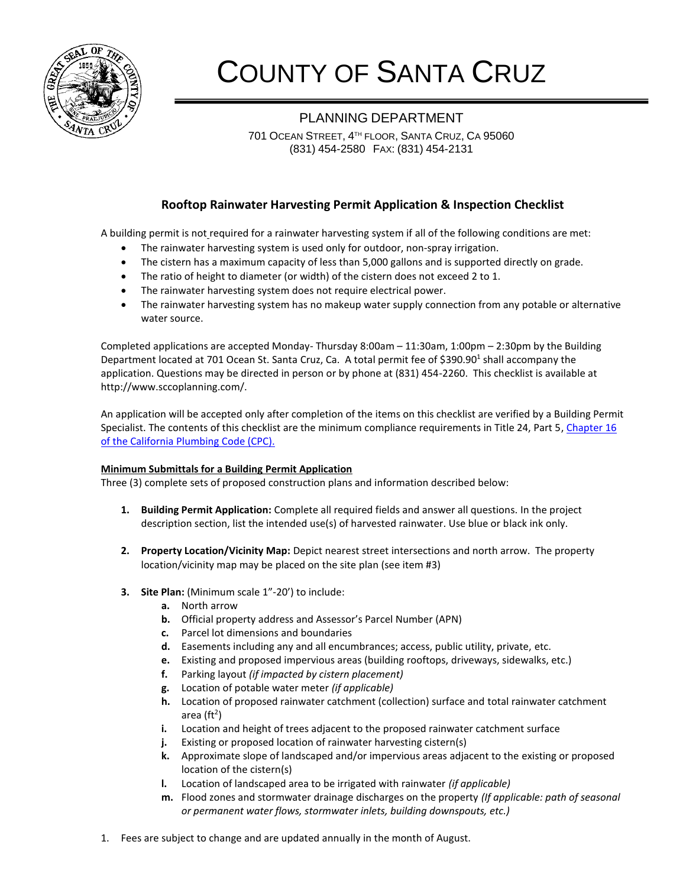

# COUNTY OF SANTA CRUZ

## PLANNING DEPARTMENT

701 OCEAN STREET, 4 TH FLOOR, SANTA CRUZ, CA 95060 (831) 454-2580 FAX: (831) 454-2131

### **Rooftop Rainwater Harvesting Permit Application & Inspection Checklist**

A building permit is not required for a rainwater harvesting system if all of the following conditions are met:

- The rainwater harvesting system is used only for outdoor, non-spray irrigation.
- The cistern has a maximum capacity of less than 5,000 gallons and is supported directly on grade.
- The ratio of height to diameter (or width) of the cistern does not exceed 2 to 1.
- The rainwater harvesting system does not require electrical power.
- The rainwater harvesting system has no makeup water supply connection from any potable or alternative water source.

Completed applications are accepted Monday- Thursday 8:00am – 11:30am, 1:00pm – 2:30pm by the Building Department located at 701 Ocean St. Santa Cruz, Ca. A total permit fee of \$390.90<sup>1</sup> shall accompany the application. Questions may be directed in person or by phone at (831) 454-2260. This checklist is available at http://www.sccoplanning.com/.

An application will be accepted only after completion of the items on this checklist are verified by a Building Permit Specialist. The contents of this checklist are the minimum compliance requirements in Title 24, Part 5[, Chapter 16](http://www.bsc.ca.gov/codes.aspx) [of the California Plumbing Code \(CPC\).](http://www.bsc.ca.gov/codes.aspx)

#### **Minimum Submittals for a Building Permit Application**

Three (3) complete sets of proposed construction plans and information described below:

- **1. Building Permit Application:** Complete all required fields and answer all questions. In the project description section, list the intended use(s) of harvested rainwater. Use blue or black ink only.
- **2. Property Location/Vicinity Map:** Depict nearest street intersections and north arrow. The property location/vicinity map may be placed on the site plan (see item #3)
- **3. Site Plan:** (Minimum scale 1"-20') to include:
	- **a.** North arrow
	- **b.** Official property address and Assessor's Parcel Number (APN)
	- **c.** Parcel lot dimensions and boundaries
	- **d.** Easements including any and all encumbrances; access, public utility, private, etc.
	- **e.** Existing and proposed impervious areas (building rooftops, driveways, sidewalks, etc.)
	- **f.** Parking layout *(if impacted by cistern placement)*
	- **g.** Location of potable water meter *(if applicable)*
	- **h.** Location of proposed rainwater catchment (collection) surface and total rainwater catchment area (ft<sup>2</sup>)
	- **i.** Location and height of trees adjacent to the proposed rainwater catchment surface
	- **j.** Existing or proposed location of rainwater harvesting cistern(s)
	- **k.** Approximate slope of landscaped and/or impervious areas adjacent to the existing or proposed location of the cistern(s)
	- **l.** Location of landscaped area to be irrigated with rainwater *(if applicable)*
	- **m.** Flood zones and stormwater drainage discharges on the property *(If applicable: path of seasonal or permanent water flows, stormwater inlets, building downspouts, etc.)*
- 1. Fees are subject to change and are updated annually in the month of August.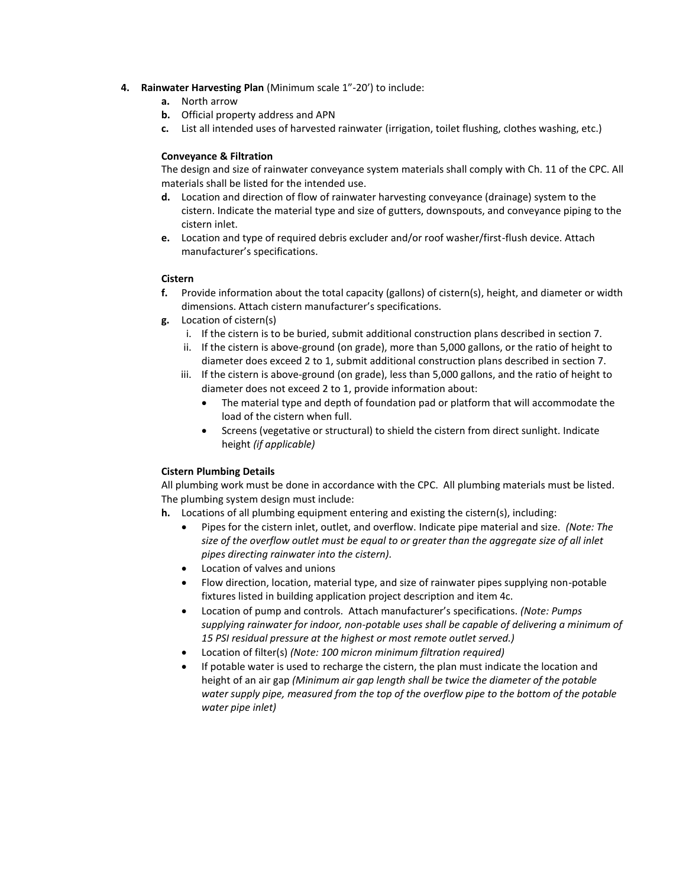- **4. Rainwater Harvesting Plan** (Minimum scale 1"-20') to include:
	- **a.** North arrow
	- **b.** Official property address and APN
	- **c.** List all intended uses of harvested rainwater (irrigation, toilet flushing, clothes washing, etc.)

#### **Conveyance & Filtration**

The design and size of rainwater conveyance system materials shall comply with Ch. 11 of the CPC. All materials shall be listed for the intended use.

- **d.** Location and direction of flow of rainwater harvesting conveyance (drainage) system to the cistern. Indicate the material type and size of gutters, downspouts, and conveyance piping to the cistern inlet.
- **e.** Location and type of required debris excluder and/or roof washer/first-flush device. Attach manufacturer's specifications.

#### **Cistern**

- **f.** Provide information about the total capacity (gallons) of cistern(s), height, and diameter or width dimensions. Attach cistern manufacturer's specifications.
- **g.** Location of cistern(s)
	- i. If the cistern is to be buried, submit additional construction plans described in section 7.
	- ii. If the cistern is above-ground (on grade), more than 5,000 gallons, or the ratio of height to diameter does exceed 2 to 1, submit additional construction plans described in section 7.
	- iii. If the cistern is above-ground (on grade), less than 5,000 gallons, and the ratio of height to diameter does not exceed 2 to 1, provide information about:
		- The material type and depth of foundation pad or platform that will accommodate the load of the cistern when full.
		- Screens (vegetative or structural) to shield the cistern from direct sunlight. Indicate height *(if applicable)*

#### **Cistern Plumbing Details**

All plumbing work must be done in accordance with the CPC. All plumbing materials must be listed. The plumbing system design must include:

- **h.** Locations of all plumbing equipment entering and existing the cistern(s), including:
	- Pipes for the cistern inlet, outlet, and overflow. Indicate pipe material and size. *(Note: The size of the overflow outlet must be equal to or greater than the aggregate size of all inlet pipes directing rainwater into the cistern).*
	- Location of valves and unions
	- Flow direction, location, material type, and size of rainwater pipes supplying non-potable fixtures listed in building application project description and item 4c.
	- Location of pump and controls. Attach manufacturer's specifications. *(Note: Pumps supplying rainwater for indoor, non-potable uses shall be capable of delivering a minimum of 15 PSI residual pressure at the highest or most remote outlet served.)*
	- Location of filter(s) *(Note: 100 micron minimum filtration required)*
	- If potable water is used to recharge the cistern, the plan must indicate the location and height of an air gap *(Minimum air gap length shall be twice the diameter of the potable water supply pipe, measured from the top of the overflow pipe to the bottom of the potable water pipe inlet)*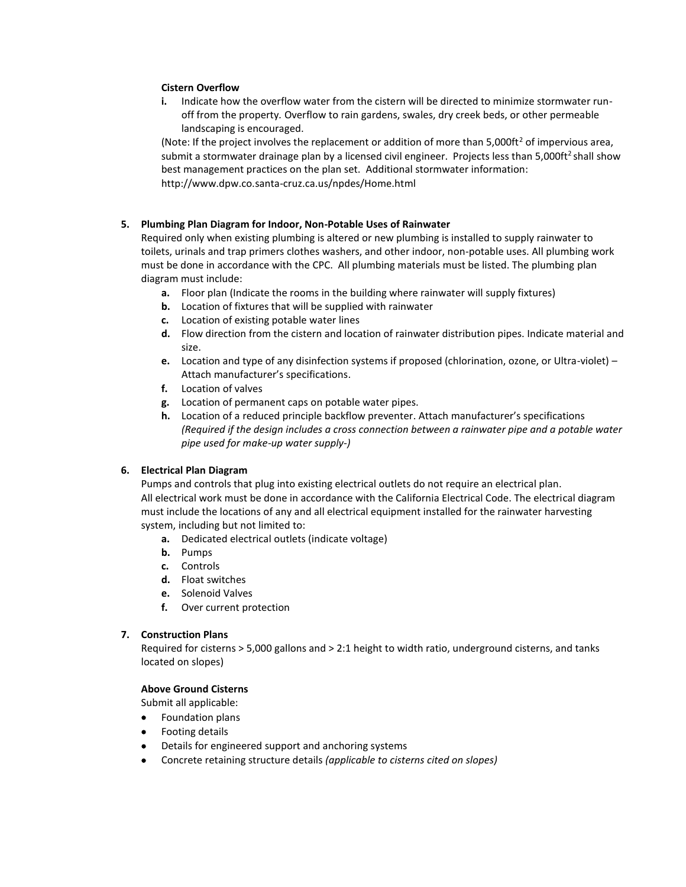#### **Cistern Overflow**

**i.** Indicate how the overflow water from the cistern will be directed to minimize stormwater runoff from the property*.* Overflow to rain gardens, swales, dry creek beds, or other permeable landscaping is encouraged.

(Note: If the project involves the replacement or addition of more than  $5,000ft^2$  of impervious area, submit a stormwater drainage plan by a licensed civil engineer. Projects less than 5,000ft<sup>2</sup> shall show best management practices on the plan set. Additional stormwater information: http://www.dpw.co.santa-cruz.ca.us/npdes/Home.html

#### **5. Plumbing Plan Diagram for Indoor, Non-Potable Uses of Rainwater**

Required only when existing plumbing is altered or new plumbing is installed to supply rainwater to toilets, urinals and trap primers clothes washers, and other indoor, non-potable uses. All plumbing work must be done in accordance with the CPC. All plumbing materials must be listed. The plumbing plan diagram must include:

- **a.** Floor plan (Indicate the rooms in the building where rainwater will supply fixtures)
- **b.** Location of fixtures that will be supplied with rainwater
- **c.** Location of existing potable water lines
- **d.** Flow direction from the cistern and location of rainwater distribution pipes. Indicate material and size.
- **e.** Location and type of any disinfection systems if proposed (chlorination, ozone, or Ultra-violet) *–* Attach manufacturer's specifications.
- **f.** Location of valves
- **g.** Location of permanent caps on potable water pipes.
- **h.** Location of a reduced principle backflow preventer. Attach manufacturer's specifications *(Required if the design includes a cross connection between a rainwater pipe and a potable water pipe used for make-up water supply-)*

#### **6. Electrical Plan Diagram**

Pumps and controls that plug into existing electrical outlets do not require an electrical plan. All electrical work must be done in accordance with the California Electrical Code. The electrical diagram must include the locations of any and all electrical equipment installed for the rainwater harvesting system, including but not limited to:

- **a.** Dedicated electrical outlets (indicate voltage)
- **b.** Pumps
- **c.** Controls
- **d.** Float switches
- **e.** Solenoid Valves
- **f.** Over current protection

#### **7. Construction Plans**

Required for cisterns > 5,000 gallons and > 2:1 height to width ratio, underground cisterns, and tanks located on slopes)

#### **Above Ground Cisterns**

Submit all applicable:

- Foundation plans
- **•** Footing details
- Details for engineered support and anchoring systems
- Concrete retaining structure details *(applicable to cisterns cited on slopes)*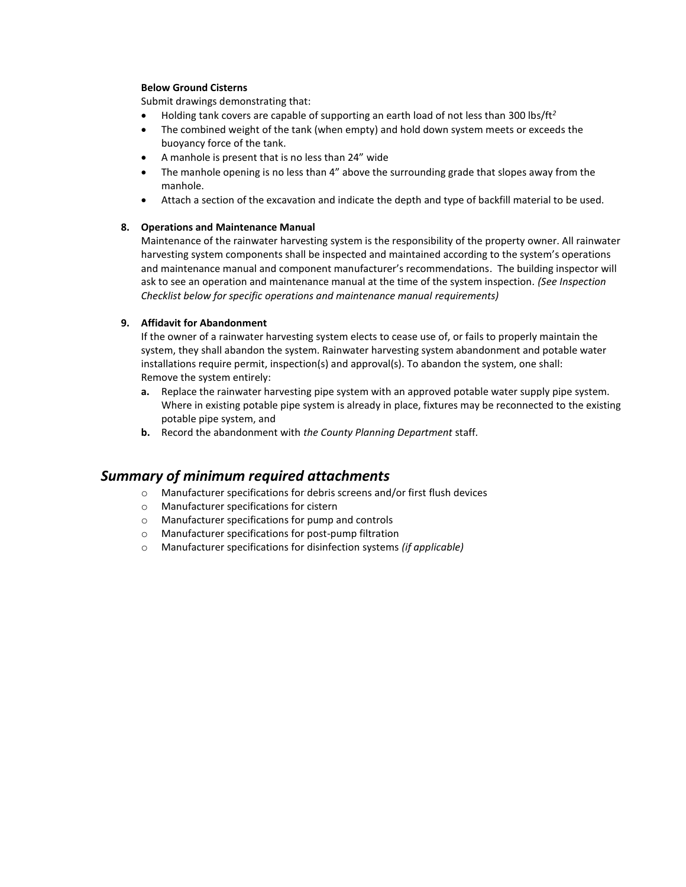#### **Below Ground Cisterns**

Submit drawings demonstrating that:

- Holding tank covers are capable of supporting an earth load of not less than 300 lbs/ft*<sup>2</sup>*
- The combined weight of the tank (when empty) and hold down system meets or exceeds the buoyancy force of the tank.
- A manhole is present that is no less than 24" wide
- The manhole opening is no less than 4" above the surrounding grade that slopes away from the manhole.
- Attach a section of the excavation and indicate the depth and type of backfill material to be used.

#### **8. Operations and Maintenance Manual**

Maintenance of the rainwater harvesting system is the responsibility of the property owner. All rainwater harvesting system components shall be inspected and maintained according to the system's operations and maintenance manual and component manufacturer's recommendations. The building inspector will ask to see an operation and maintenance manual at the time of the system inspection*. (See Inspection Checklist below for specific operations and maintenance manual requirements)*

#### **9. Affidavit for Abandonment**

If the owner of a rainwater harvesting system elects to cease use of, or fails to properly maintain the system, they shall abandon the system. Rainwater harvesting system abandonment and potable water installations require permit, inspection(s) and approval(s). To abandon the system, one shall: Remove the system entirely:

- **a.** Replace the rainwater harvesting pipe system with an approved potable water supply pipe system. Where in existing potable pipe system is already in place, fixtures may be reconnected to the existing potable pipe system, and
- **b.** Record the abandonment with *the County Planning Department* staff.

## *Summary of minimum required attachments*

- o Manufacturer specifications for debris screens and/or first flush devices
- o Manufacturer specifications for cistern
- o Manufacturer specifications for pump and controls
- o Manufacturer specifications for post-pump filtration
- o Manufacturer specifications for disinfection systems *(if applicable)*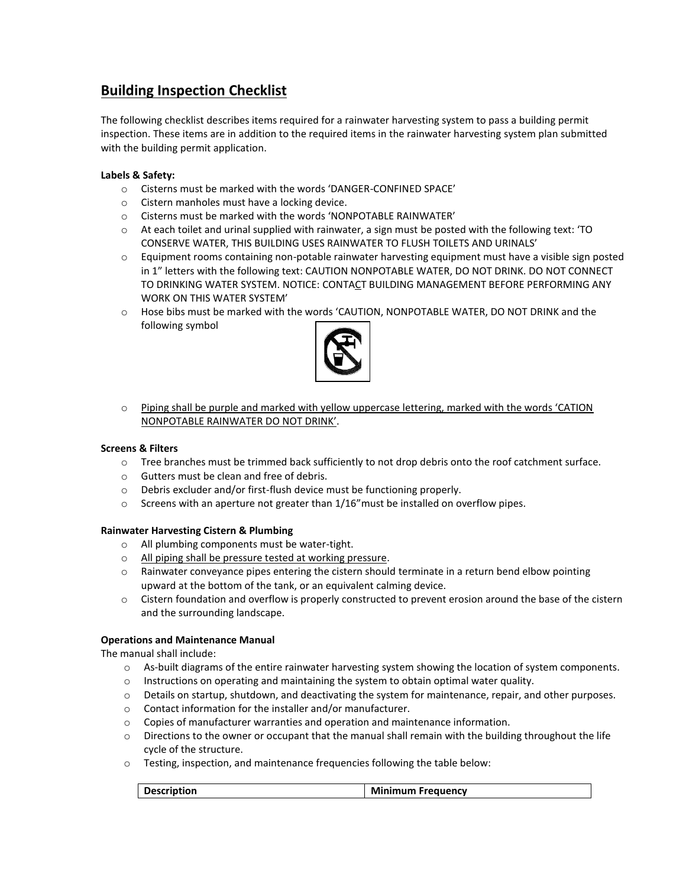# **Building Inspection Checklist**

The following checklist describes items required for a rainwater harvesting system to pass a building permit inspection. These items are in addition to the required items in the rainwater harvesting system plan submitted with the building permit application.

#### **Labels & Safety:**

- o Cisterns must be marked with the words 'DANGER-CONFINED SPACE'
- o Cistern manholes must have a locking device.
- o Cisterns must be marked with the words 'NONPOTABLE RAINWATER'
- $\circ$  At each toilet and urinal supplied with rainwater, a sign must be posted with the following text: 'TO CONSERVE WATER, THIS BUILDING USES RAINWATER TO FLUSH TOILETS AND URINALS'
- $\circ$  Equipment rooms containing non-potable rainwater harvesting equipment must have a visible sign posted in 1" letters with the following text: CAUTION NONPOTABLE WATER, DO NOT DRINK. DO NOT CONNECT TO DRINKING WATER SYSTEM. NOTICE: CONTACT BUILDING MANAGEMENT BEFORE PERFORMING ANY WORK ON THIS WATER SYSTEM'
- o Hose bibs must be marked with the words 'CAUTION, NONPOTABLE WATER, DO NOT DRINK and the following symbol



o Piping shall be purple and marked with yellow uppercase lettering, marked with the words 'CATION NONPOTABLE RAINWATER DO NOT DRINK'.

#### **Screens & Filters**

- o Tree branches must be trimmed back sufficiently to not drop debris onto the roof catchment surface.
- o Gutters must be clean and free of debris.
- o Debris excluder and/or first-flush device must be functioning properly.
- $\circ$  Screens with an aperture not greater than 1/16" must be installed on overflow pipes.

#### **Rainwater Harvesting Cistern & Plumbing**

- o All plumbing components must be water-tight.
- o All piping shall be pressure tested at working pressure.
- o Rainwater conveyance pipes entering the cistern should terminate in a return bend elbow pointing upward at the bottom of the tank, or an equivalent calming device.
- o Cistern foundation and overflow is properly constructed to prevent erosion around the base of the cistern and the surrounding landscape.

#### **Operations and Maintenance Manual**

The manual shall include:

- $\circ$  As-built diagrams of the entire rainwater harvesting system showing the location of system components.
- o Instructions on operating and maintaining the system to obtain optimal water quality.
- $\circ$  Details on startup, shutdown, and deactivating the system for maintenance, repair, and other purposes.
- o Contact information for the installer and/or manufacturer.
- $\circ$  Copies of manufacturer warranties and operation and maintenance information.
- $\circ$  Directions to the owner or occupant that the manual shall remain with the building throughout the life cycle of the structure.
- o Testing, inspection, and maintenance frequencies following the table below:

| м<br><b>Description</b><br>. Freauencv<br>inimum |
|--------------------------------------------------|
|--------------------------------------------------|